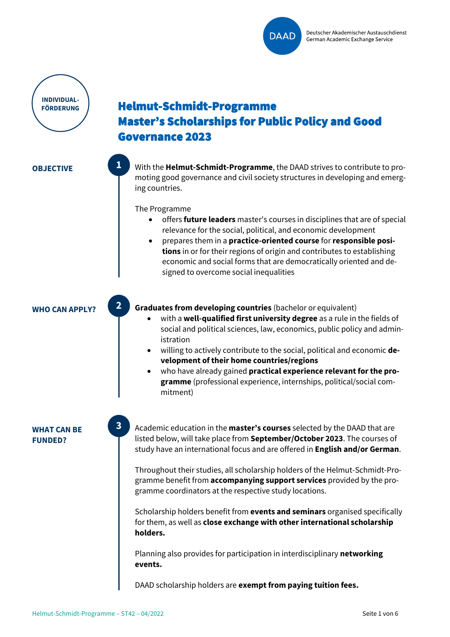

**INDIVIDUAL-FÖRDERUNG**

# Helmut-Schmidt-Programme Master's Scholarships for Public Policy and Good Governance 2023

**OBJECTIVE With the Helmut-Schmidt-Programme**, the DAAD strives to contribute to promoting good governance and civil society structures in developing and emerging countries.

The Programme

**1**

**2**

**3**

- offers **future leaders** master's courses in disciplines that are of special relevance for the social, political, and economic development
- prepares them in a **practice-oriented course** for **responsible positions** in or for their regions of origin and contributes to establishing economic and social forms that are democratically oriented and designed to overcome social inequalities

**WHO CAN APPLY? Graduates from developing countries** (bachelor or equivalent)

- with a **well-qualified first university degree** as a rule in the fields of social and political sciences, law, economics, public policy and administration
- willing to actively contribute to the social, political and economic **development of their home countries/regions**
- who have already gained **practical experience relevant for the programme** (professional experience, internships, political/social commitment)

**WHAT CAN BE FUNDED?**

Academic education in the **master's courses** selected by the DAAD that are listed below, will take place from **September/October 2023**. The courses of study have an international focus and are offered in **English and/or German**.

Throughout their studies, all scholarship holders of the Helmut-Schmidt-Programme benefit from **accompanying support services** provided by the programme coordinators at the respective study locations.

Scholarship holders benefit from **events and seminars** organised specifically for them, as well as **close exchange with other international scholarship holders.**

Planning also provides for participation in interdisciplinary **networking events.**

DAAD scholarship holders are **exempt from paying tuition fees.**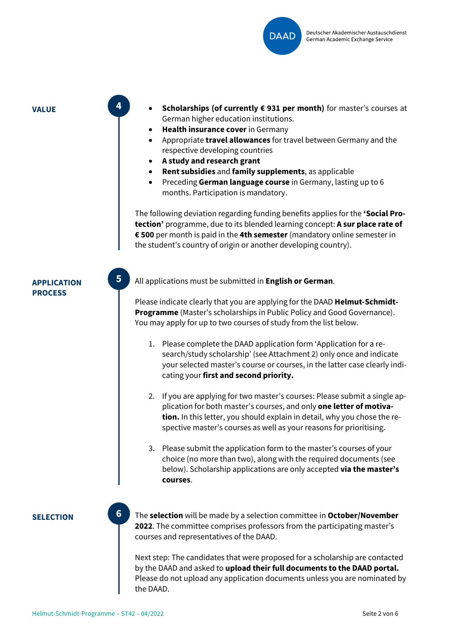

**4**

**5**

- **VALUE EXECUTE: • Scholarships (of currently € 931 per month)** for master's courses at German higher education institutions.
	- **Health insurance cover** in Germany
	- Appropriate **travel allowances** for travel between Germany and the respective developing countries
	- **A study and research grant**
	- **Rent subsidies** and **family supplements**, as applicable
	- Preceding **German language course** in Germany, lasting up to 6 months. Participation is mandatory.

The following deviation regarding funding benefits applies for the **'Social Protection'** programme, due to its blended learning concept: **A sur place rate of € 500** per month is paid in the **4th semester** (mandatory online semester in the student's country of origin or another developing country).

# **APPLICATION PROCESS**

All applications must be submitted in **English or German**.

Please indicate clearly that you are applying for the DAAD **Helmut-Schmidt-Programme** (Master's scholarships in Public Policy and Good Governance). You may apply for up to two courses of study from the list below.

- 1. Please complete the DAAD application form 'Application for a research/study scholarship' (see Attachment 2) only once and indicate your selected master's course or courses, in the latter case clearly indicating your **first and second priority.**
- 2. If you are applying for two master's courses: Please submit a single application for both master's courses, and only **one letter of motivation.** In this letter, you should explain in detail, why you chose the respective master's courses as well as your reasons for prioritising.
- 3. Please submit the application form to the master's courses of your choice (no more than two), along with the required documents (see below). Scholarship applications are only accepted **via the master's courses**.

**SELECTION The selection** will be made by a selection committee in **October/November 2022**. The committee comprises professors from the participating master's courses and representatives of the DAAD.

> Next step: The candidates that were proposed for a scholarship are contacted by the DAAD and asked to **upload their full documents to the DAAD portal.** Please do not upload any application documents unless you are nominated by the DAAD.

**6**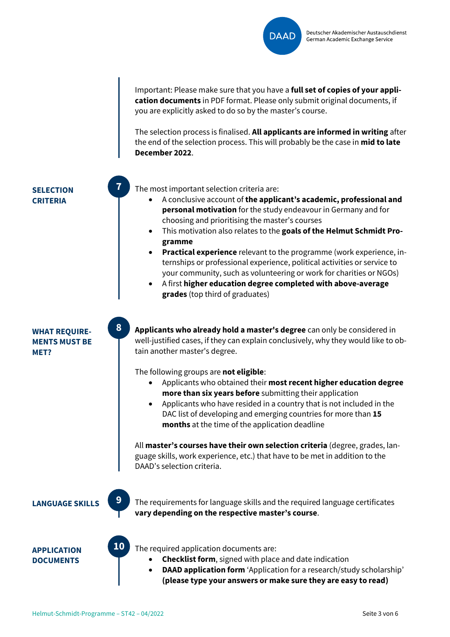

Important: Please make sure that you have a **full set of copies of your application documents** in PDF format. Please only submit original documents, if you are explicitly asked to do so by the master's course.

The selection process is finalised. **All applicants are informed in writing** after the end of the selection process. This will probably be the case in **mid to late December 2022**.

**SELECTION CRITERIA**

The most important selection criteria are:

- A conclusive account of **the applicant's academic, professional and personal motivation** for the study endeavour in Germany and for choosing and prioritising the master's courses
- This motivation also relates to the **goals of the Helmut Schmidt Programme**
- **Practical experience** relevant to the programme (work experience, internships or professional experience, political activities or service to your community, such as volunteering or work for charities or NGOs)
- A first **higher education degree completed with above-average grades** (top third of graduates)

**WHAT REQUIRE-MENTS MUST BE MET?**

**Applicants who already hold a master's degree** can only be considered in well-justified cases, if they can explain conclusively, why they would like to obtain another master's degree.

The following groups are **not eligible**:

- Applicants who obtained their **most recent higher education degree more than six years before** submitting their application
- Applicants who have resided in a country that is not included in the DAC list of developing and emerging countries for more than **15 months** at the time of the application deadline

All **master's courses have their own selection criteria** (degree, grades, language skills, work experience, etc.) that have to be met in addition to the DAAD's selection criteria.



**10**

**7**

**8**

**LANGUAGE SKILLS** The requirements for language skills and the required language certificates **vary depending on the respective master's course**.

**APPLICATION DOCUMENTS**

- The required application documents are:
	- **Checklist form**, signed with place and date indication
	- **DAAD application form** 'Application for a research/study scholarship' **(please type your answers or make sure they are easy to read)**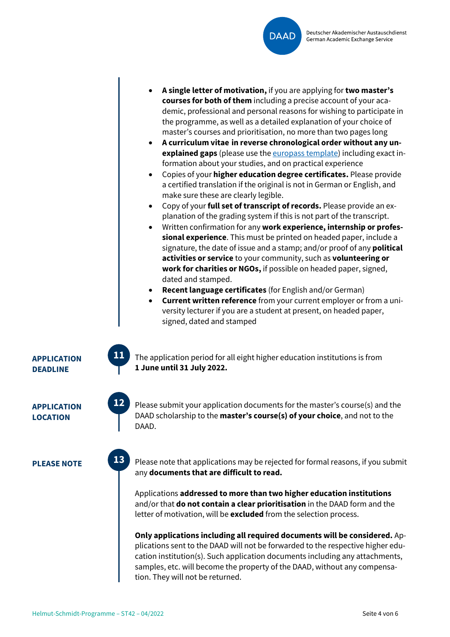

- **A single letter of motivation,** if you are applying for **two master's courses for both of them** including a precise account of your academic, professional and personal reasons for wishing to participate in the programme, as well as a detailed explanation of your choice of master's courses and prioritisation, no more than two pages long
- **A curriculum vitae in reverse chronological order without any unexplained gaps** (please use the [europass template\)](http://europass.cedefop.europa.eu/) including exact information about your studies, and on practical experience
- Copies of your **higher education degree certificates.** Please provide a certified translation if the original is not in German or English, and make sure these are clearly legible.
- Copy of your **full set of transcript of records.** Please provide an explanation of the grading system if this is not part of the transcript.
- Written confirmation for any **work experience, internship or professional experience**. This must be printed on headed paper, include a signature, the date of issue and a stamp; and/or proof of any **political activities or service** to your community, such as **volunteering or work for charities or NGOs,** if possible on headed paper, signed, dated and stamped.
- **Recent language certificates** (for English and/or German)
- **Current written reference** from your current employer or from a university lecturer if you are a student at present, on headed paper, signed, dated and stamped

The application period for all eight higher education institutions is from **1 June until 31 July 2022.**

**APPLICATION**

**LOCATION**

**APPLICATION DEADLINE**



**13**

**11**

Please submit your application documents for the master's course(s) and the DAAD scholarship to the **master's course(s) of your choice**, and not to the DAAD.

**PLEASE NOTE** Please note that applications may be rejected for formal reasons, if you submit any **documents that are difficult to read.**

> Applications **addressed to more than two higher education institutions** and/or that **do not contain a clear prioritisation** in the DAAD form and the letter of motivation, will be **excluded** from the selection process.

**Only applications including all required documents will be considered.** Applications sent to the DAAD will not be forwarded to the respective higher education institution(s). Such application documents including any attachments, samples, etc. will become the property of the DAAD, without any compensation. They will not be returned.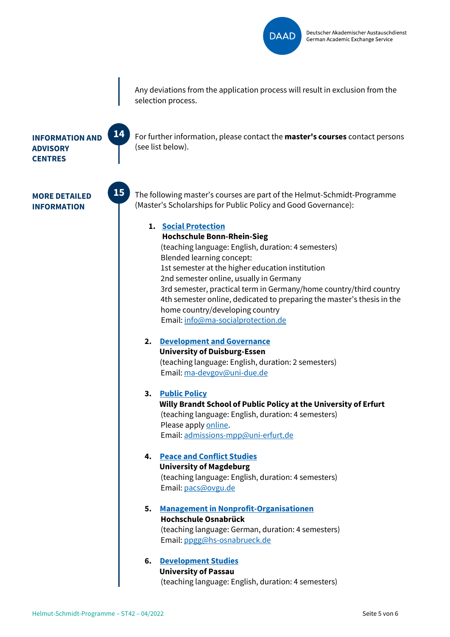

Any deviations from the application process will result in exclusion from the selection process.

For further information, please contact the **master's courses** contact persons

## **INFORMATION AND ADVISORY CENTRES**

**MORE DETAILED INFORMATION**



**14**

The following master's courses are part of the Helmut-Schmidt-Programme (Master's Scholarships for Public Policy and Good Governance):

## **1. [Social Protection](https://www.h-brs.de/en/sv/master/social-protection)**

(see list below).

**Hochschule Bonn-Rhein-Sieg** (teaching language: English, duration: 4 semesters) Blended learning concept: 1st semester at the higher education institution 2nd semester online, usually in Germany 3rd semester, practical term in Germany/home country/third country 4th semester online, dedicated to preparing the master's thesis in the home country/developing country Email: [info@ma-socialprotection.de](mailto:info@ma-socialprotection.de)

**2. [Development and Governance](http://www.ma-dev-gov.de/) University of Duisburg-Essen** (teaching language: English, duration: 2 semesters) Email[: ma-devgov@uni-due.de](mailto:ma-devgov@uni-due.de)

#### **3. [Public Policy](https://www.uni-erfurt.de/en/brandtschool/studies/master-of-public-policy/about-the-program) Willy Brandt School of Public Policy at the University of Erfurt** (teaching language: English, duration: 4 semesters) Please apply [online.](https://www.uni-erfurt.de/en/brandtschool/studies/admissions/scholarships#c42048) Email[: admissions-mpp@uni-erfurt.de](mailto:admissions-mpp@uni-erfurt.de)

## **4. [Peace and Conflict Studies](https://www.pacs.ovgu.de/Study+Programme.html) University of Magdeburg** (teaching language: English, duration: 4 semesters) Email[: pacs@ovgu.de](mailto:pacs@ovgu.de)

**5. [Management in Nonprofit-Organisationen](https://www.hs-osnabrueck.de/studium/studienangebot/master/management-in-nonprofit-organisationen-ma/) Hochschule Osnabrück** (teaching language: German, duration: 4 semesters) Email: [ppgg@hs-osnabrueck.de](mailto:ppgg@hs-osnabrueck.de)

# **6. [Development Studies](https://www.uni-passau.de/en/ma-devstudies/) University of Passau** (teaching language: English, duration: 4 semesters)